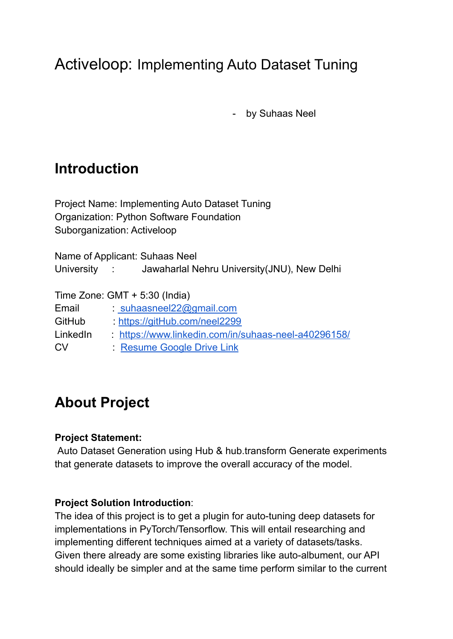# Activeloop: Implementing Auto Dataset Tuning

- by Suhaas Neel

# **Introduction**

Project Name: Implementing Auto Dataset Tuning Organization: Python Software Foundation Suborganization: Activeloop

Name of Applicant: Suhaas Neel University : Jawaharlal Nehru University(JNU), New Delhi

Time Zone: GMT + 5:30 (India)

- Email : [suhaasneel22@gmail.com](mailto:suhaasneel22@gmail.com)
- GitHub : [https://gitHub.com/neel2299](https://github.com/neel2299)
- LinkedIn : <https://www.linkedin.com/in/suhaas-neel-a40296158/>
- CV : [Resume](https://drive.google.com/file/d/1NqZ3U42JnBJ84OagE0BGaW7403zF7oXI/view?usp=sharing) Google Drive Link

# **About Project**

#### **Project Statement:**

Auto Dataset Generation using Hub & hub.transform Generate experiments that generate datasets to improve the overall accuracy of the model.

#### **Project Solution Introduction**:

The idea of this project is to get a plugin for auto-tuning deep datasets for implementations in PyTorch/Tensorflow. This will entail researching and implementing different techniques aimed at a variety of datasets/tasks. Given there already are some existing libraries like auto-albument, our API should ideally be simpler and at the same time perform similar to the current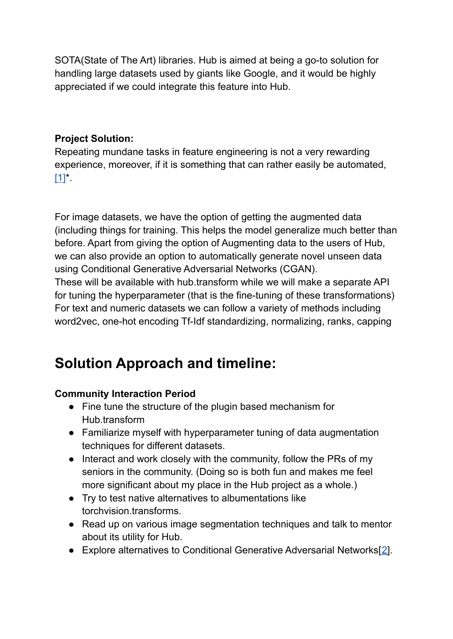SOTA(State of The Art) libraries. Hub is aimed at being a go-to solution for handling large datasets used by giants like Google, and it would be highly appreciated if we could integrate this feature into Hub.

### **Project Solution:**

Repeating mundane tasks in feature engineering is not a very rewarding experience, moreover, if it is something that can rather easily be automated,  $[1]'$  $[1]'$ .

For image datasets, we have the option of getting the augmented data (including things for training. This helps the model generalize much better than before. Apart from giving the option of Augmenting data to the users of Hub, we can also provide an option to automatically generate novel unseen data using Conditional Generative Adversarial Networks (CGAN).

These will be available with hub.transform while we will make a separate API for tuning the hyperparameter (that is the fine-tuning of these transformations) For text and numeric datasets we can follow a variety of methods including word2vec, one-hot encoding Tf-Idf standardizing, normalizing, ranks, capping

# **Solution Approach and timeline:**

### **Community Interaction Period**

- Fine tune the structure of the plugin based mechanism for Hub.transform
- Familiarize myself with hyperparameter tuning of data augmentation techniques for different datasets.
- Interact and work closely with the community, follow the PRs of my seniors in the community. (Doing so is both fun and makes me feel more significant about my place in the Hub project as a whole.)
- Try to test native alternatives to albumentations like torchvision.transforms.
- Read up on various image segmentation techniques and talk to mentor about its utility for Hub.
- Explore alternatives to Conditional Generative Adversarial Networks[[2\]](https://arxiv.org/ftp/arxiv/papers/2006/2006.05132.pdf).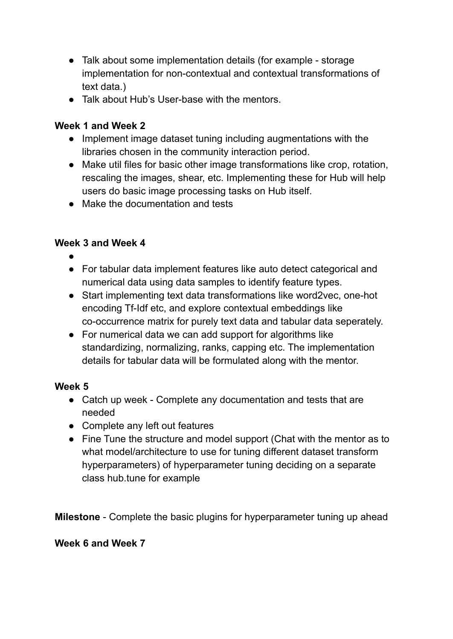- Talk about some implementation details (for example storage implementation for non-contextual and contextual transformations of text data.)
- Talk about Hub's User-base with the mentors.

#### **Week 1 and Week 2**

- Implement image dataset tuning including augmentations with the libraries chosen in the community interaction period.
- Make util files for basic other image transformations like crop, rotation, rescaling the images, shear, etc. Implementing these for Hub will help users do basic image processing tasks on Hub itself.
- Make the documentation and tests

### **Week 3 and Week 4**

- ●
- For tabular data implement features like auto detect categorical and numerical data using data samples to identify feature types.
- Start implementing text data transformations like word2vec, one-hot encoding Tf-Idf etc, and explore contextual embeddings like co-occurrence matrix for purely text data and tabular data seperately.
- For numerical data we can add support for algorithms like standardizing, normalizing, ranks, capping etc. The implementation details for tabular data will be formulated along with the mentor.

### **Week 5**

- Catch up week Complete any documentation and tests that are needed
- Complete any left out features
- Fine Tune the structure and model support (Chat with the mentor as to what model/architecture to use for tuning different dataset transform hyperparameters) of hyperparameter tuning deciding on a separate class hub.tune for example

**Milestone** - Complete the basic plugins for hyperparameter tuning up ahead

#### **Week 6 and Week 7**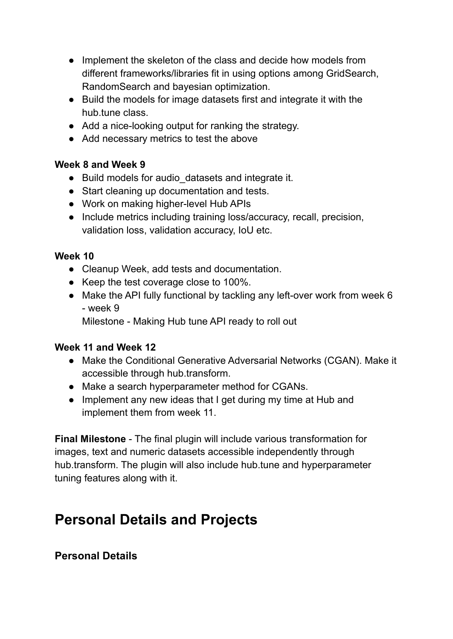- Implement the skeleton of the class and decide how models from different frameworks/libraries fit in using options among GridSearch, RandomSearch and bayesian optimization.
- Build the models for image datasets first and integrate it with the hub.tune class.
- Add a nice-looking output for ranking the strategy.
- Add necessary metrics to test the above

### **Week 8 and Week 9**

- Build models for audio datasets and integrate it.
- Start cleaning up documentation and tests.
- Work on making higher-level Hub APIs
- Include metrics including training loss/accuracy, recall, precision, validation loss, validation accuracy, IoU etc.

### **Week 10**

- Cleanup Week, add tests and documentation.
- Keep the test coverage close to 100%.
- Make the API fully functional by tackling any left-over work from week 6 - week 9

Milestone - Making Hub tune API ready to roll out

#### **Week 11 and Week 12**

- Make the Conditional Generative Adversarial Networks (CGAN). Make it accessible through hub.transform.
- Make a search hyperparameter method for CGANs.
- Implement any new ideas that I get during my time at Hub and implement them from week 11.

**Final Milestone** - The final plugin will include various transformation for images, text and numeric datasets accessible independently through hub.transform. The plugin will also include hub.tune and hyperparameter tuning features along with it.

# **Personal Details and Projects**

## **Personal Details**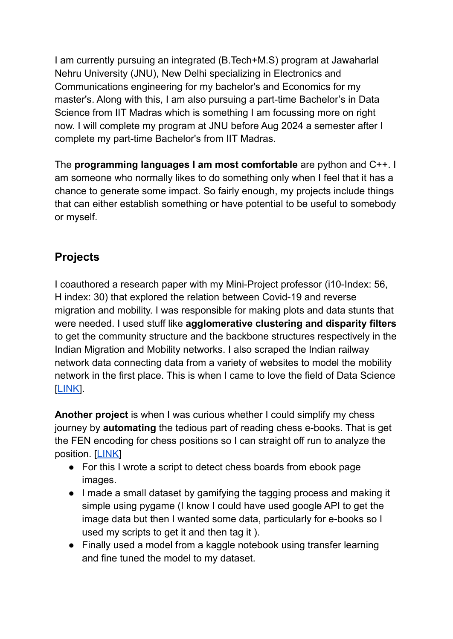I am currently pursuing an integrated (B.Tech+M.S) program at Jawaharlal Nehru University (JNU), New Delhi specializing in Electronics and Communications engineering for my bachelor's and Economics for my master's. Along with this, I am also pursuing a part-time Bachelor's in Data Science from IIT Madras which is something I am focussing more on right now. I will complete my program at JNU before Aug 2024 a semester after I complete my part-time Bachelor's from IIT Madras.

The **programming languages I am most comfortable** are python and C++. I am someone who normally likes to do something only when I feel that it has a chance to generate some impact. So fairly enough, my projects include things that can either establish something or have potential to be useful to somebody or myself.

## **Projects**

I coauthored a research paper with my Mini-Project professor (i10-Index: 56, H index: 30) that explored the relation between Covid-19 and reverse migration and mobility. I was responsible for making plots and data stunts that were needed. I used stuff like **agglomerative clustering and disparity filters** to get the community structure and the backbone structures respectively in the Indian Migration and Mobility networks. I also scraped the Indian railway network data connecting data from a variety of websites to model the mobility network in the first place. This is when I came to love the field of Data Science [[LINK\]](https://github.com/neel2299/Cov_Mig_Paper.git).

**Another project** is when I was curious whether I could simplify my chess journey by **automating** the tedious part of reading chess e-books. That is get the FEN encoding for chess positions so I can straight off run to analyze the position. [[LINK\]](https://github.com/neel2299/Chess_Detector)

- For this I wrote a script to detect chess boards from ebook page images.
- I made a small dataset by gamifying the tagging process and making it simple using pygame (I know I could have used google API to get the image data but then I wanted some data, particularly for e-books so I used my scripts to get it and then tag it ).
- Finally used a model from a kaggle notebook using transfer learning and fine tuned the model to my dataset.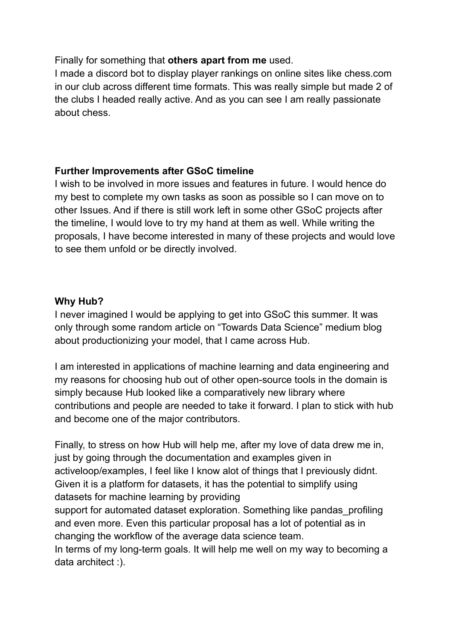#### Finally for something that **others apart from me** used.

I made a discord bot to display player rankings on online sites like chess.com in our club across different time formats. This was really simple but made 2 of the clubs I headed really active. And as you can see I am really passionate about chess.

#### **Further Improvements after GSoC timeline**

I wish to be involved in more issues and features in future. I would hence do my best to complete my own tasks as soon as possible so I can move on to other Issues. And if there is still work left in some other GSoC projects after the timeline, I would love to try my hand at them as well. While writing the proposals, I have become interested in many of these projects and would love to see them unfold or be directly involved.

#### **Why Hub?**

I never imagined I would be applying to get into GSoC this summer. It was only through some random article on "Towards Data Science" medium blog about productionizing your model, that I came across Hub.

I am interested in applications of machine learning and data engineering and my reasons for choosing hub out of other open-source tools in the domain is simply because Hub looked like a comparatively new library where contributions and people are needed to take it forward. I plan to stick with hub and become one of the major contributors.

Finally, to stress on how Hub will help me, after my love of data drew me in, just by going through the documentation and examples given in activeloop/examples, I feel like I know alot of things that I previously didnt. Given it is a platform for datasets, it has the potential to simplify using datasets for machine learning by providing

support for automated dataset exploration. Something like pandas profiling and even more. Even this particular proposal has a lot of potential as in changing the workflow of the average data science team.

In terms of my long-term goals. It will help me well on my way to becoming a data architect :).